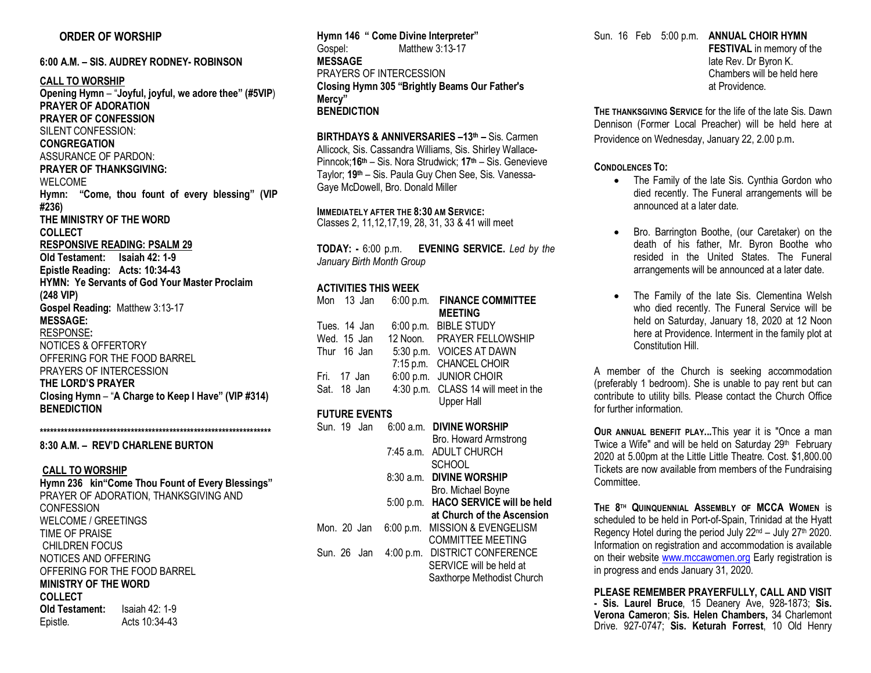# **ORDER OF WORSHIP**

## **6:00 A.M. – SIS. AUDREY RODNEY- ROBINSON**

**CALL TO WORSHIP Opening Hymn** – "**Joyful, joyful, we adore thee" (#5VIP**) **PRAYER OF ADORATION PRAYER OF CONFESSION** SILENT CONFESSION: **CONGREGATION** ASSURANCE OF PARDON: **PRAYER OF THANKSGIVING:** WELCOME **Hymn: "Come, thou fount of every blessing" (VIP #236) THE MINISTRY OF THE WORD COLLECT RESPONSIVE READING: PSALM 29 Old Testament: Isaiah 42: 1-9 Epistle Reading: Acts: 10:34-43 HYMN: Ye Servants of God Your Master Proclaim (248 VIP) Gospel Reading:** Matthew 3:13-17 **MESSAGE:**  RESPONSE**:**  NOTICES & OFFERTORY OFFERING FOR THE FOOD BARREL PRAYERS OF INTERCESSION **THE LORD'S PRAYER Closing Hymn** – "**A Charge to Keep I Have" (VIP #314) BENEDICTION** 

**\*\*\*\*\*\*\*\*\*\*\*\*\*\*\*\*\*\*\*\*\*\*\*\*\*\*\*\*\*\*\*\*\*\*\*\*\*\*\*\*\*\*\*\*\*\*\*\*\*\*\*\*\*\*\*\*\*\*\*\*\*\*\*\*\*\***

**8:30 A.M. – REV'D CHARLENE BURTON**

#### **CALL TO WORSHIP**

**Hymn 236 kin"Come Thou Fount of Every Blessings"**  PRAYER OF ADORATION, THANKSGIVING AND CONFESSION WELCOME / GREETINGS TIME OF PRAISE CHILDREN FOCUS NOTICES AND OFFERING OFFERING FOR THE FOOD BARREL **MINISTRY OF THE WORD COLLECT Old Testament:** Isaiah 42: 1-9 Epistle. Acts 10:34-43

**Hymn 146 " Come Divine Interpreter"** Gospel: Matthew 3:13-17 **MESSAGE**  PRAYERS OF INTERCESSION **Closing Hymn 305 "Brightly Beams Our Father's Mercy" BENEDICTION** 

**BIRTHDAYS & ANNIVERSARIES –13th –** Sis. Carmen Allicock, Sis. Cassandra Williams, Sis. Shirley Wallace-Pinncok;**16th** – Sis. Nora Strudwick; **17th** – Sis. Genevieve Taylor; **19th** – Sis. Paula Guy Chen See, Sis. Vanessa-Gaye McDowell, Bro. Donald Miller

**IMMEDIATELY AFTER THE 8:30 AM SERVICE:** Classes 2, 11,12,17,19, 28, 31, 33 & 41 will meet

**TODAY: -** 6:00 p.m. **EVENING SERVICE.** *Led by the January Birth Month Group*

#### **ACTIVITIES THIS WEEK**

| Mon 13 Jan           | 6:00 p.m.   | <b>FINANCE COMMITTEE</b>            |  |  |
|----------------------|-------------|-------------------------------------|--|--|
|                      |             | <b>MEETING</b>                      |  |  |
| Tues. 14 Jan         | 6:00 p.m.   | <b>BIBLE STUDY</b>                  |  |  |
| Wed. 15 Jan          | 12 Noon.    | <b>PRAYER FELLOWSHIP</b>            |  |  |
| Thur 16 Jan          |             | 5:30 p.m. VOICES AT DAWN            |  |  |
|                      | 7:15 p.m.   | <b>CHANCEL CHOIR</b>                |  |  |
| Fri. 17 Jan          | 6:00 p.m.   | <b>JUNIOR CHOIR</b>                 |  |  |
| Sat. 18 Jan          | $4:30$ p.m. | CLASS 14 will meet in the           |  |  |
|                      |             | <b>Upper Hall</b>                   |  |  |
| <b>FUTURE EVENTS</b> |             |                                     |  |  |
| Sun. 19 Jan          |             | 6:00 a.m. DIVINE WORSHIP            |  |  |
|                      |             | Bro. Howard Armstrong               |  |  |
|                      | 7:45 a.m.   | <b>ADULT CHURCH</b>                 |  |  |
|                      |             | <b>SCHOOL</b>                       |  |  |
|                      | 8:30 a.m.   | <b>DIVINE WORSHIP</b>               |  |  |
|                      |             | Bro. Michael Boyne                  |  |  |
|                      |             | 5:00 p.m. HACO SERVICE will be held |  |  |
|                      |             | at Church of the Ascension          |  |  |
| Mon. 20 Jan          |             | 6:00 p.m. MISSION & EVENGELISM      |  |  |
|                      |             | <b>COMMITTEE MEETING</b>            |  |  |
| Sun. 26 Jan          |             | 4:00 p.m. DISTRICT CONFERENCE       |  |  |
|                      |             | SERVICE will be held at             |  |  |
|                      |             | Saxthorpe Methodist Church          |  |  |

Sun. 16 Feb 5:00 p.m. **ANNUAL CHOIR HYMN FESTIVAL** in memory of the late Rev. Dr Byron K. Chambers will be held here at Providence.

**THE THANKSGIVING SERVICE** for the life of the late Sis. Dawn Dennison (Former Local Preacher) will be held here at Providence on Wednesday, January 22, 2.00 p.m.

#### **CONDOLENCES TO:**

- The Family of the late Sis. Cynthia Gordon who died recently. The Funeral arrangements will be announced at a later date.
- Bro. Barrington Boothe, (our Caretaker) on the death of his father, Mr. Byron Boothe who resided in the United States. The Funeral arrangements will be announced at a later date.
- The Family of the late Sis. Clementina Welsh who died recently. The Funeral Service will be held on Saturday, January 18, 2020 at 12 Noon here at Providence. Interment in the family plot at Constitution Hill.

A member of the Church is seeking accommodation (preferably 1 bedroom). She is unable to pay rent but can contribute to utility bills. Please contact the Church Office for further information.

**OUR ANNUAL BENEFIT PLAY...**This year it is "Once a man Twice a Wife" and will be held on Saturday 29<sup>th</sup> February 2020 at 5.00pm at the Little Little Theatre. Cost. \$1,800.00 Tickets are now available from members of the Fundraising Committee.

**THE 8TH QUINQUENNIAL ASSEMBLY OF MCCA WOMEN** is scheduled to be held in Port-of-Spain, Trinidad at the Hyatt Regency Hotel during the period July 22<sup>nd</sup> – July 27<sup>th</sup> 2020. Information on registration and accommodation is available on their website www.mccawomen.org Early registration is in progress and ends January 31, 2020.

**PLEASE REMEMBER PRAYERFULLY, CALL AND VISIT - Sis. Laurel Bruce**, 15 Deanery Ave, 928-1873; **Sis. Verona Cameron**; **Sis. Helen Chambers,** 34 Charlemont Drive. 927-0747; **Sis. Keturah Forrest**, 10 Old Henry